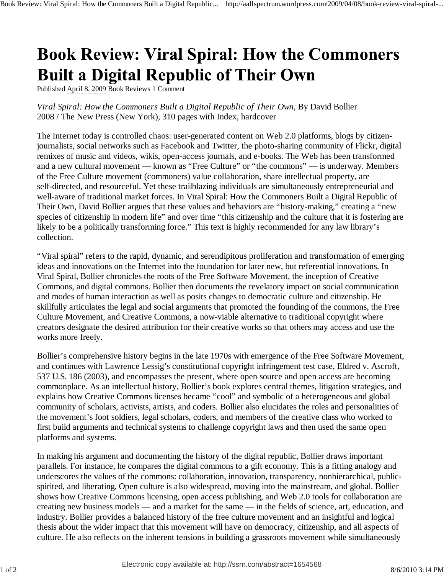## **Book Review: Viral Spiral: How the Commoners Built a Digital Republic of Their Own**

Published April 8, 2009 Book Reviews 1 Comment

*Viral Spiral: How the Commoners Built a Digital Republic of Their Own*, By David Bollier 2008 / The New Press (New York), 310 pages with Index, hardcover

The Internet today is controlled chaos: user-generated content on Web 2.0 platforms, blogs by citizenjournalists, social networks such as Facebook and Twitter, the photo-sharing community of Flickr, digital remixes of music and videos, wikis, open-access journals, and e-books. The Web has been transformed and a new cultural movement — known as "Free Culture" or "the commons" — is underway. Members of the Free Culture movement (commoners) value collaboration, share intellectual property, are self-directed, and resourceful. Yet these trailblazing individuals are simultaneously entrepreneurial and well-aware of traditional market forces. In Viral Spiral: How the Commoners Built a Digital Republic of Their Own, David Bollier argues that these values and behaviors are "history-making," creating a "new species of citizenship in modern life" and over time "this citizenship and the culture that it is fostering are likely to be a politically transforming force." This text is highly recommended for any law library's collection.

"Viral spiral" refers to the rapid, dynamic, and serendipitous proliferation and transformation of emerging ideas and innovations on the Internet into the foundation for later new, but referential innovations. In Viral Spiral, Bollier chronicles the roots of the Free Software Movement, the inception of Creative Commons, and digital commons. Bollier then documents the revelatory impact on social communication and modes of human interaction as well as posits changes to democratic culture and citizenship. He skillfully articulates the legal and social arguments that promoted the founding of the commons, the Free Culture Movement, and Creative Commons, a now-viable alternative to traditional copyright where creators designate the desired attribution for their creative works so that others may access and use the works more freely.

Bollier's comprehensive history begins in the late 1970s with emergence of the Free Software Movement, and continues with Lawrence Lessig's constitutional copyright infringement test case, Eldred v. Ascroft, 537 U.S. 186 (2003), and encompasses the present, where open source and open access are becoming commonplace. As an intellectual history, Bollier's book explores central themes, litigation strategies, and explains how Creative Commons licenses became "cool" and symbolic of a heterogeneous and global community of scholars, activists, artists, and coders. Bollier also elucidates the roles and personalities of the movement's foot soldiers, legal scholars, coders, and members of the creative class who worked to first build arguments and technical systems to challenge copyright laws and then used the same open platforms and systems.

In making his argument and documenting the history of the digital republic, Bollier draws important parallels. For instance, he compares the digital commons to a gift economy. This is a fitting analogy and underscores the values of the commons: collaboration, innovation, transparency, nonhierarchical, publicspirited, and liberating. Open culture is also widespread, moving into the mainstream, and global. Bollier shows how Creative Commons licensing, open access publishing, and Web 2.0 tools for collaboration are creating new business models — and a market for the same — in the fields of science, art, education, and industry. Bollier provides a balanced history of the free culture movement and an insightful and logical thesis about the wider impact that this movement will have on democracy, citizenship, and all aspects of culture. He also reflects on the inherent tensions in building a grassroots movement while simultaneously